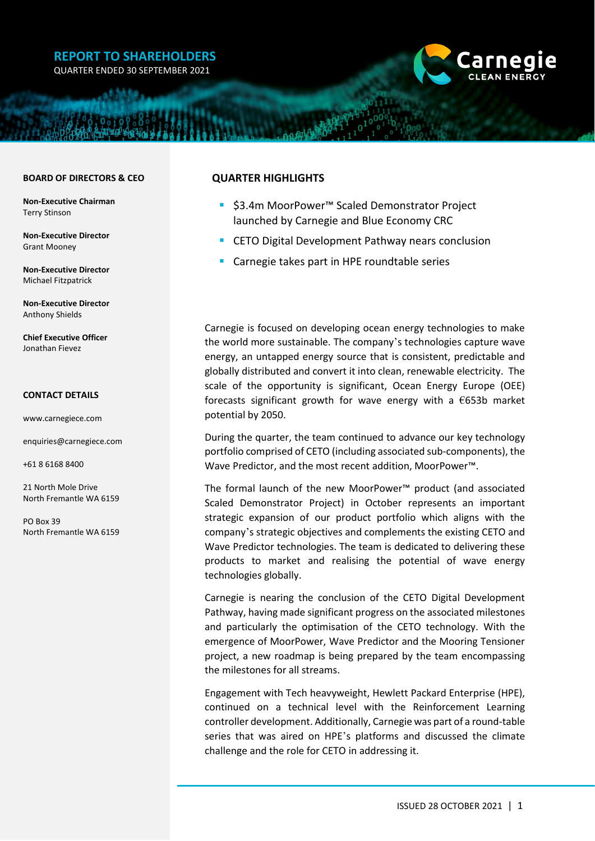# **REPORT TO SHAREHOLDERS**

QUARTER ENDED 30 SEPTEMBER 2021



#### **BOARD OF DIRECTORS & CEO**

**Non-Executive Chairman** Terry Stinson

**Non-Executive Director** Grant Mooney

**Non-Executive Director** Michael Fitzpatrick

**Non-Executive Director** Anthony Shields

**Chief Executive Officer** Jonathan Fievez

#### **CONTACT DETAILS**

[www.carnegiece.com](http://www.carnegiece.com/)

[enquiries@carnegiece.com](mailto:enquiries@carnegiece.com)

+61 8 6168 8400

21 North Mole Drive North Fremantle WA 6159

PO Box 39 North Fremantle WA 6159

#### **QUARTER HIGHLIGHTS**

- \$3.4m MoorPower™ Scaled Demonstrator Project launched by Carnegie and Blue Economy CRC
- CETO Digital Development Pathway nears conclusion
- Carnegie takes part in HPE roundtable series

Carnegie is focused on developing ocean energy technologies to make the world more sustainable. The company's technologies capture wave energy, an untapped energy source that is consistent, predictable and globally distributed and convert it into clean, renewable electricity. The scale of the opportunity is significant, Ocean Energy Europe (OEE) forecasts significant growth for wave energy with a  $€653b$  market potential by 2050.

During the quarter, the team continued to advance our key technology portfolio comprised of CETO (including associated sub-components), the Wave Predictor, and the most recent addition, MoorPower™.

The formal launch of the new MoorPower™ product (and associated Scaled Demonstrator Project) in October represents an important strategic expansion of our product portfolio which aligns with the company's strategic objectives and complements the existing CETO and Wave Predictor technologies. The team is dedicated to delivering these products to market and realising the potential of wave energy technologies globally.

Carnegie is nearing the conclusion of the CETO Digital Development Pathway, having made significant progress on the associated milestones and particularly the optimisation of the CETO technology. With the emergence of MoorPower, Wave Predictor and the Mooring Tensioner project, a new roadmap is being prepared by the team encompassing the milestones for all streams.

Engagement with Tech heavyweight, Hewlett Packard Enterprise (HPE), continued on a technical level with the Reinforcement Learning controller development. Additionally, Carnegie was part of a round-table series that was aired on HPE's platforms and discussed the climate challenge and the role for CETO in addressing it.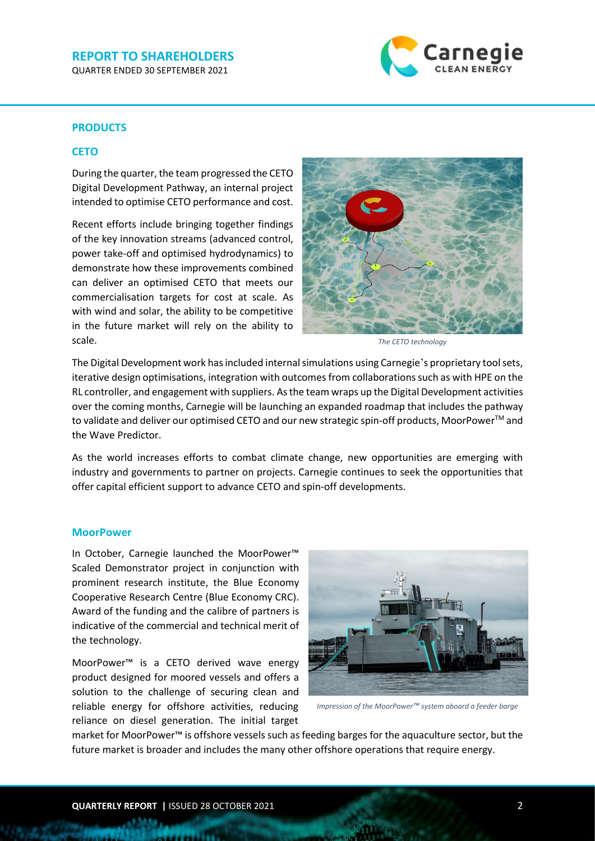#### **REPORT TO SHAREHOLDERS** QUARTER ENDED 30 SEPTEMBER 2021



### **PRODUCTS**

#### **CETO**

During the quarter, the team progressed the CETO Digital Development Pathway, an internal project intended to optimise CETO performance and cost.

Recent efforts include bringing together findings of the key innovation streams (advanced control, power take-off and optimised hydrodynamics) to demonstrate how these improvements combined can deliver an optimised CETO that meets our commercialisation targets for cost at scale. As with wind and solar, the ability to be competitive in the future market will rely on the ability to scale.



*The CETO technology*

The Digital Development work has included internal simulations using Carnegie's proprietary tool sets, iterative design optimisations, integration with outcomes from collaborations such as with HPE on the RL controller, and engagement with suppliers. Asthe team wraps up the Digital Development activities over the coming months, Carnegie will be launching an expanded roadmap that includes the pathway to validate and deliver our optimised CETO and our new strategic spin-off products, MoorPower™ and the Wave Predictor.

As the world increases efforts to combat climate change, new opportunities are emerging with industry and governments to partner on projects. Carnegie continues to seek the opportunities that offer capital efficient support to advance CETO and spin-off developments.

#### **MoorPower**

In October, Carnegie launched the MoorPower™ Scaled Demonstrator project in conjunction with prominent research institute, the Blue Economy Cooperative Research Centre (Blue Economy CRC). Award of the funding and the calibre of partners is indicative of the commercial and technical merit of the technology.

MoorPower™ is a CETO derived wave energy product designed for moored vessels and offers a solution to the challenge of securing clean and reliable energy for offshore activities, reducing reliance on diesel generation. The initial target



*Impression of the MoorPower™ system aboard a feeder barge*

market for MoorPower™ is offshore vessels such as feeding barges for the aquaculture sector, but the future market is broader and includes the many other offshore operations that require energy.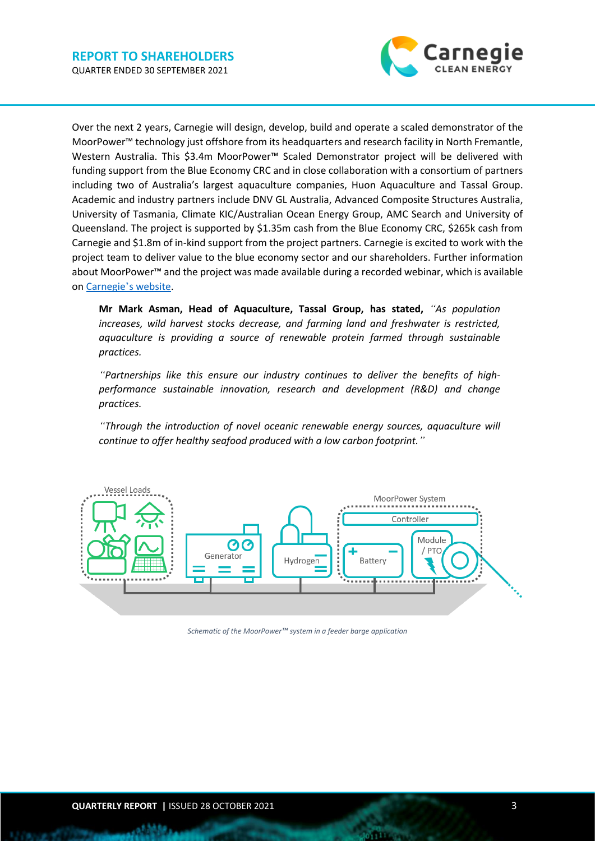

Over the next 2 years, Carnegie will design, develop, build and operate a scaled demonstrator of the MoorPower™ technology just offshore from its headquarters and research facility in North Fremantle, Western Australia. This \$3.4m MoorPower™ Scaled Demonstrator project will be delivered with funding support from the Blue Economy CRC and in close collaboration with a consortium of partners including two of Australia's largest aquaculture companies, Huon Aquaculture and Tassal Group. Academic and industry partners include DNV GL Australia, Advanced Composite Structures Australia, University of Tasmania, Climate KIC/Australian Ocean Energy Group, AMC Search and University of Queensland. The project is supported by \$1.35m cash from the Blue Economy CRC, \$265k cash from Carnegie and \$1.8m of in-kind support from the project partners. Carnegie is excited to work with the project team to deliver value to the blue economy sector and our shareholders. Further information about MoorPower™ and the project was made available during a recorded webinar, which is available on Carnegie'[s website.](https://www.carnegiece.com/carnegie-launches-moorpower-project/#MoorPower_Webinar)

**Mr Mark Asman, Head of Aquaculture, Tassal Group, has stated,** *"As population increases, wild harvest stocks decrease, and farming land and freshwater is restricted, aquaculture is providing a source of renewable protein farmed through sustainable practices.* 

*"Partnerships like this ensure our industry continues to deliver the benefits of highperformance sustainable innovation, research and development (R&D) and change practices.* 

*"Through the introduction of novel oceanic renewable energy sources, aquaculture will continue to offer healthy seafood produced with a low carbon footprint."*



*Schematic of the MoorPower™ system in a feeder barge application*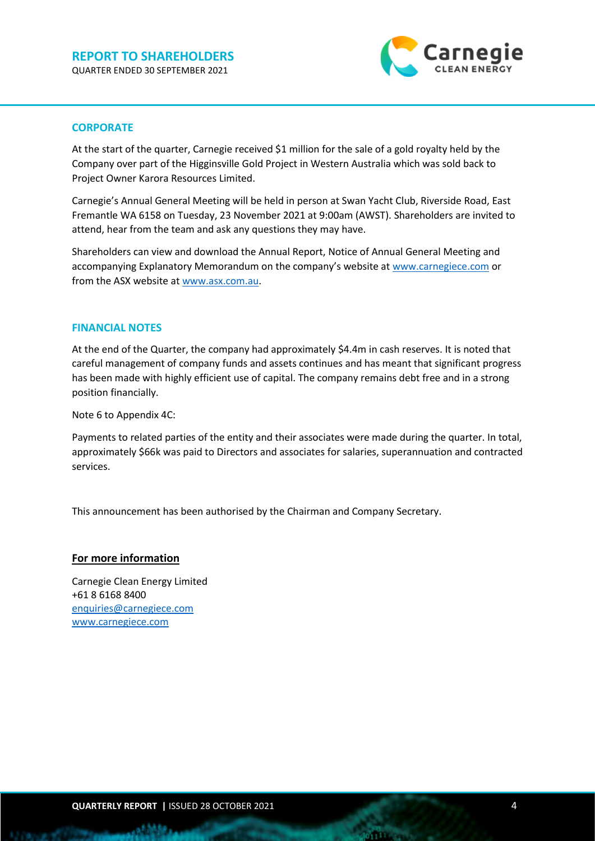

### **CORPORATE**

At the start of the quarter, Carnegie received \$1 million for the sale of a gold royalty held by the Company over part of the Higginsville Gold Project in Western Australia which was sold back to Project Owner Karora Resources Limited.

Carnegie's Annual General Meeting will be held in person at Swan Yacht Club, Riverside Road, East Fremantle WA 6158 on Tuesday, 23 November 2021 at 9:00am (AWST). Shareholders are invited to attend, hear from the team and ask any questions they may have.

Shareholders can view and download the Annual Report, Notice of Annual General Meeting and accompanying Explanatory Memorandum on the company's website at [www.carnegiece.com](http://www.carnegiece.com/) or from the ASX website at [www.asx.com.au.](http://www.asx.com.au/)

#### **FINANCIAL NOTES**

At the end of the Quarter, the company had approximately \$4.4m in cash reserves. It is noted that careful management of company funds and assets continues and has meant that significant progress has been made with highly efficient use of capital. The company remains debt free and in a strong position financially.

Note 6 to Appendix 4C:

Payments to related parties of the entity and their associates were made during the quarter. In total, approximately \$66k was paid to Directors and associates for salaries, superannuation and contracted services.

This announcement has been authorised by the Chairman and Company Secretary.

#### **For more information**

Carnegie Clean Energy Limited +61 8 6168 8400 [enquiries@carnegiece.com](mailto:enquiries@carnegiece.com) [www.carnegiece.com](http://www.carnegiece.com/)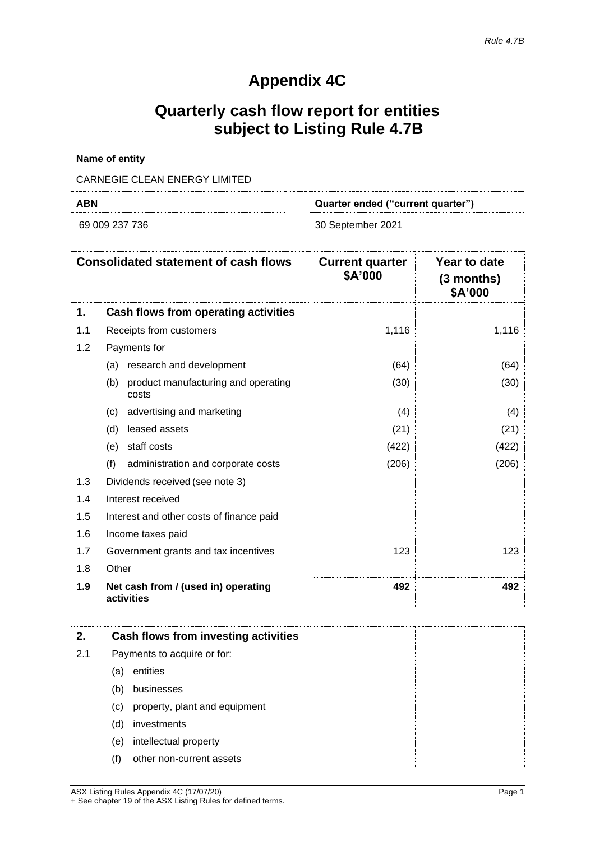# **Appendix 4C**

# **Quarterly cash flow report for entities subject to Listing Rule 4.7B**

| Name of entity                |                                   |
|-------------------------------|-----------------------------------|
| CARNEGIE CLEAN ENERGY LIMITED |                                   |
| <b>ABN</b>                    | Quarter ended ("current quarter") |

| 69 009 237 736 |
|----------------|
|----------------|

30 September 2021

| <b>Consolidated statement of cash flows</b> |                                                     | <b>Current quarter</b><br>\$A'000 | Year to date<br>$(3$ months)<br>\$A'000 |
|---------------------------------------------|-----------------------------------------------------|-----------------------------------|-----------------------------------------|
| 1.                                          | Cash flows from operating activities                |                                   |                                         |
| 1.1                                         | Receipts from customers                             | 1,116                             | 1,116                                   |
| 1.2                                         | Payments for                                        |                                   |                                         |
|                                             | research and development<br>(a)                     | (64)                              | (64)                                    |
|                                             | (b)<br>product manufacturing and operating<br>costs | (30)                              | (30)                                    |
|                                             | advertising and marketing<br>(c)                    | (4)                               | (4)                                     |
|                                             | leased assets<br>(d)                                | (21)                              | (21)                                    |
|                                             | staff costs<br>(e)                                  | (422)                             | (422)                                   |
|                                             | (f)<br>administration and corporate costs           | (206)                             | (206)                                   |
| 1.3                                         | Dividends received (see note 3)                     |                                   |                                         |
| 1.4                                         | Interest received                                   |                                   |                                         |
| 1.5                                         | Interest and other costs of finance paid            |                                   |                                         |
| 1.6                                         | Income taxes paid                                   |                                   |                                         |
| 1.7                                         | Government grants and tax incentives                | 123                               | 123                                     |
| 1.8                                         | Other                                               |                                   |                                         |
| 1.9                                         | Net cash from / (used in) operating<br>activities   | 492                               | 492                                     |

| 2.  |                             | Cash flows from investing activities |
|-----|-----------------------------|--------------------------------------|
| 2.1 | Payments to acquire or for: |                                      |
|     | (a)                         | entities                             |
|     | (b)                         | businesses                           |
|     | (c)                         | property, plant and equipment        |
|     | (d)                         | investments                          |
|     | (e)                         | intellectual property                |
|     | (f)                         | other non-current assets             |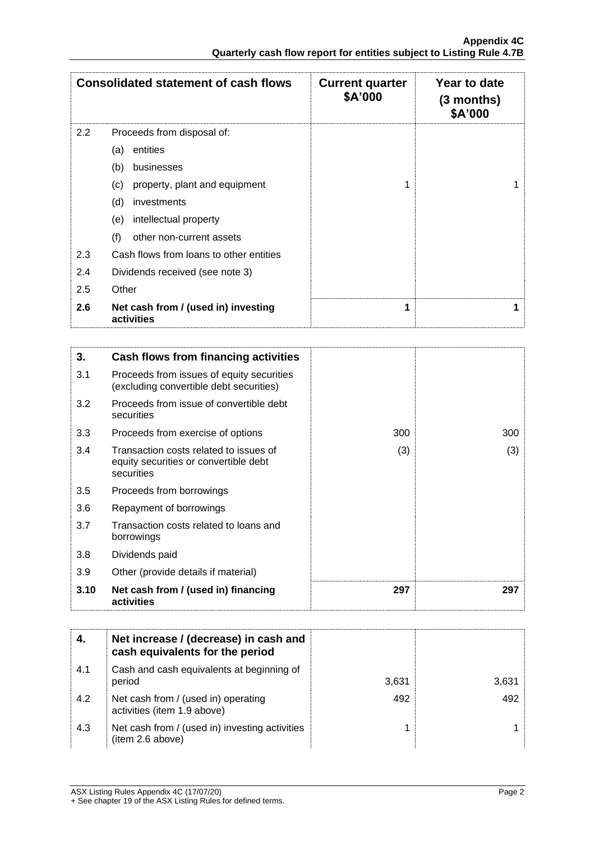| <b>Consolidated statement of cash flows</b> |                                                   | <b>Current quarter</b><br>\$A'000 | Year to date<br>$(3$ months)<br>\$A'000 |
|---------------------------------------------|---------------------------------------------------|-----------------------------------|-----------------------------------------|
| $2.2^{\circ}$                               | Proceeds from disposal of:                        |                                   |                                         |
|                                             | entities<br>(a)                                   |                                   |                                         |
|                                             | (b)<br>businesses                                 |                                   |                                         |
|                                             | property, plant and equipment<br>(c)              | 1                                 |                                         |
|                                             | (d)<br>investments                                |                                   |                                         |
|                                             | intellectual property<br>(e)                      |                                   |                                         |
|                                             | (f)<br>other non-current assets                   |                                   |                                         |
| 2.3                                         | Cash flows from loans to other entities           |                                   |                                         |
| 2.4                                         | Dividends received (see note 3)                   |                                   |                                         |
| 2.5                                         | Other                                             |                                   |                                         |
| 2.6                                         | Net cash from / (used in) investing<br>activities | 1                                 |                                         |

| 3.   | Cash flows from financing activities                                                          |     |     |
|------|-----------------------------------------------------------------------------------------------|-----|-----|
| 3.1  | Proceeds from issues of equity securities<br>(excluding convertible debt securities)          |     |     |
| 3.2  | Proceeds from issue of convertible debt<br>securities                                         |     |     |
| 3.3  | Proceeds from exercise of options                                                             | 300 | 300 |
| 3.4  | Transaction costs related to issues of<br>equity securities or convertible debt<br>securities | (3) | (3) |
| 3.5  | Proceeds from borrowings                                                                      |     |     |
| 3.6  | Repayment of borrowings                                                                       |     |     |
| 3.7  | Transaction costs related to loans and<br>borrowings                                          |     |     |
| 3.8  | Dividends paid                                                                                |     |     |
| 3.9  | Other (provide details if material)                                                           |     |     |
| 3.10 | Net cash from / (used in) financing<br>activities                                             | 297 | 297 |

| 4.  | Net increase / (decrease) in cash and<br>cash equivalents for the period |       |       |
|-----|--------------------------------------------------------------------------|-------|-------|
| 4.1 | Cash and cash equivalents at beginning of<br>period                      | 3,631 | 3,631 |
| 4.2 | Net cash from / (used in) operating<br>activities (item 1.9 above)       | 492   | 492   |
| 4.3 | Net cash from / (used in) investing activities<br>(item 2.6 above)       |       |       |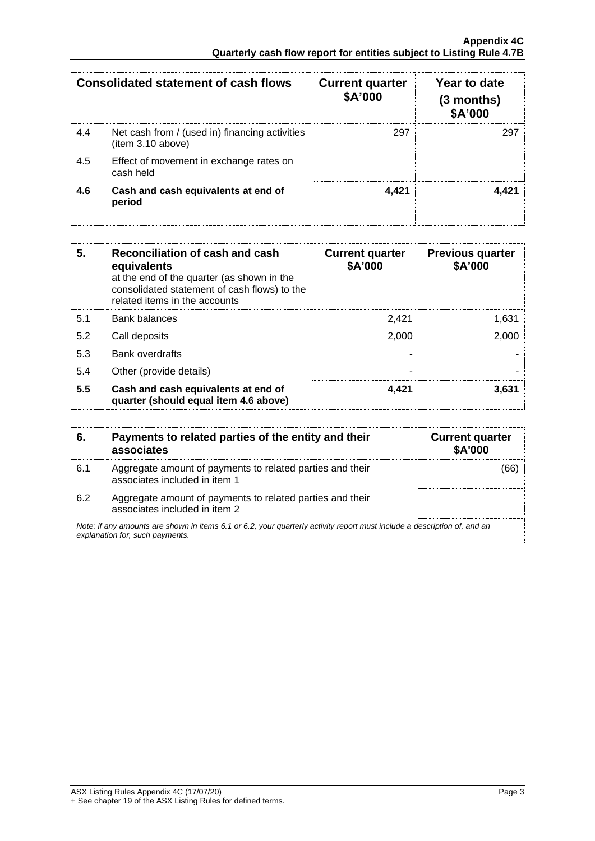| <b>Consolidated statement of cash flows</b> |                                                                    | <b>Current quarter</b><br>\$A'000 | Year to date<br>$(3$ months)<br>\$A'000 |
|---------------------------------------------|--------------------------------------------------------------------|-----------------------------------|-----------------------------------------|
| 4.4                                         | Net cash from / (used in) financing activities<br>item 3.10 above) | 297                               | 297                                     |
| 4.5                                         | Effect of movement in exchange rates on<br>cash held               |                                   |                                         |
| 4.6                                         | Cash and cash equivalents at end of<br>period                      | 4,421                             | 4.421                                   |

| 5.  | Reconciliation of cash and cash<br>equivalents<br>at the end of the quarter (as shown in the<br>consolidated statement of cash flows) to the<br>related items in the accounts | <b>Current quarter</b><br>\$A'000 | <b>Previous quarter</b><br>\$A'000 |
|-----|-------------------------------------------------------------------------------------------------------------------------------------------------------------------------------|-----------------------------------|------------------------------------|
| 5.1 | <b>Bank balances</b>                                                                                                                                                          | 2.421                             | 1.631                              |
| 5.2 | Call deposits                                                                                                                                                                 | 2,000                             | 2.000                              |
| 5.3 | <b>Bank overdrafts</b>                                                                                                                                                        |                                   |                                    |
| 5.4 | Other (provide details)                                                                                                                                                       |                                   |                                    |
| 5.5 | Cash and cash equivalents at end of<br>quarter (should equal item 4.6 above)                                                                                                  | 4,421                             | 3,631                              |

| 6.  | Payments to related parties of the entity and their<br>associates                                                                                           | <b>Current quarter</b><br><b>\$A'000</b> |
|-----|-------------------------------------------------------------------------------------------------------------------------------------------------------------|------------------------------------------|
| 6.1 | Aggregate amount of payments to related parties and their<br>associates included in item 1                                                                  |                                          |
| 6.2 | Aggregate amount of payments to related parties and their<br>associates included in item 2                                                                  |                                          |
|     | Note: if any amounts are shown in items 6.1 or 6.2, your quarterly activity report must include a description of, and an<br>explanation for, such payments. |                                          |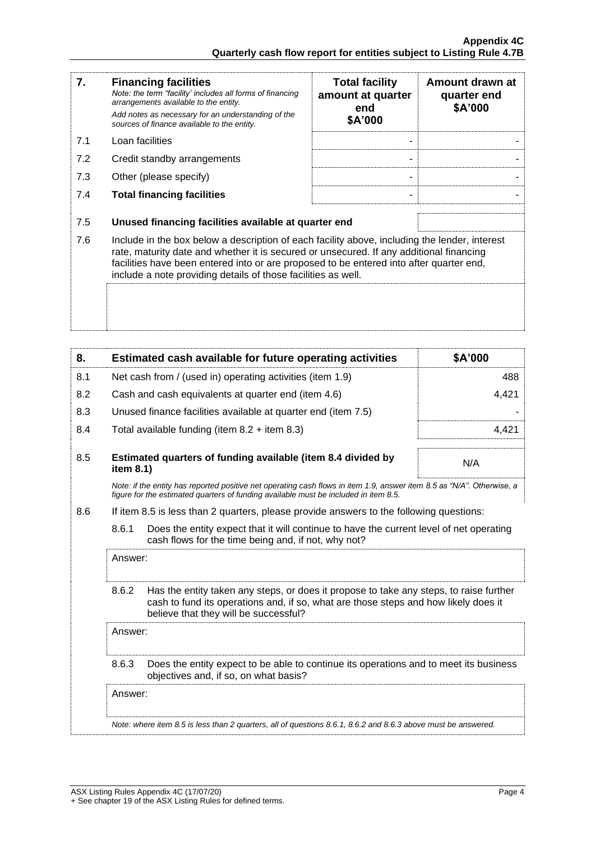| 7.  | <b>Financing facilities</b><br>Note: the term "facility' includes all forms of financing<br>arrangements available to the entity.<br>Add notes as necessary for an understanding of the<br>sources of finance available to the entity.                                                                                                               | <b>Total facility</b><br>amount at quarter<br>end<br>\$A'000 | Amount drawn at<br>quarter end<br>\$A'000 |
|-----|------------------------------------------------------------------------------------------------------------------------------------------------------------------------------------------------------------------------------------------------------------------------------------------------------------------------------------------------------|--------------------------------------------------------------|-------------------------------------------|
| 7.1 | Loan facilities                                                                                                                                                                                                                                                                                                                                      |                                                              |                                           |
| 7.2 | Credit standby arrangements                                                                                                                                                                                                                                                                                                                          |                                                              |                                           |
| 7.3 | Other (please specify)                                                                                                                                                                                                                                                                                                                               |                                                              |                                           |
| 7.4 | <b>Total financing facilities</b>                                                                                                                                                                                                                                                                                                                    |                                                              |                                           |
| 7.5 | Unused financing facilities available at quarter end                                                                                                                                                                                                                                                                                                 |                                                              |                                           |
| 7.6 | Include in the box below a description of each facility above, including the lender, interest<br>rate, maturity date and whether it is secured or unsecured. If any additional financing<br>facilities have been entered into or are proposed to be entered into after quarter end,<br>include a note providing details of those facilities as well. |                                                              |                                           |
|     |                                                                                                                                                                                                                                                                                                                                                      |                                                              |                                           |

| 8.  |                                                                                                                                                         | Estimated cash available for future operating activities                                                                                                                                                               | \$A'000 |
|-----|---------------------------------------------------------------------------------------------------------------------------------------------------------|------------------------------------------------------------------------------------------------------------------------------------------------------------------------------------------------------------------------|---------|
| 8.1 | Net cash from / (used in) operating activities (item 1.9)                                                                                               |                                                                                                                                                                                                                        | 488     |
| 8.2 |                                                                                                                                                         | Cash and cash equivalents at quarter end (item 4.6)                                                                                                                                                                    | 4,421   |
| 8.3 |                                                                                                                                                         | Unused finance facilities available at quarter end (item 7.5)                                                                                                                                                          |         |
| 8.4 |                                                                                                                                                         | Total available funding (item $8.2 +$ item $8.3$ )                                                                                                                                                                     | 4.421   |
| 8.5 | item 8.1)                                                                                                                                               | Estimated quarters of funding available (item 8.4 divided by                                                                                                                                                           | N/A     |
|     |                                                                                                                                                         | Note: if the entity has reported positive net operating cash flows in item 1.9, answer item 8.5 as "N/A". Otherwise, a<br>figure for the estimated quarters of funding available must be included in item 8.5.         |         |
| 8.6 |                                                                                                                                                         | If item 8.5 is less than 2 quarters, please provide answers to the following questions:                                                                                                                                |         |
|     | 8.6.1<br>Does the entity expect that it will continue to have the current level of net operating<br>cash flows for the time being and, if not, why not? |                                                                                                                                                                                                                        |         |
|     | Answer:                                                                                                                                                 |                                                                                                                                                                                                                        |         |
|     | 8.6.2                                                                                                                                                   | Has the entity taken any steps, or does it propose to take any steps, to raise further<br>cash to fund its operations and, if so, what are those steps and how likely does it<br>believe that they will be successful? |         |
|     | Answer:                                                                                                                                                 |                                                                                                                                                                                                                        |         |
|     | Does the entity expect to be able to continue its operations and to meet its business<br>8.6.3<br>objectives and, if so, on what basis?                 |                                                                                                                                                                                                                        |         |
|     | Answer:                                                                                                                                                 |                                                                                                                                                                                                                        |         |
|     |                                                                                                                                                         | Note: where item 8.5 is less than 2 quarters, all of questions 8.6.1, 8.6.2 and 8.6.3 above must be answered.                                                                                                          |         |
|     |                                                                                                                                                         |                                                                                                                                                                                                                        |         |